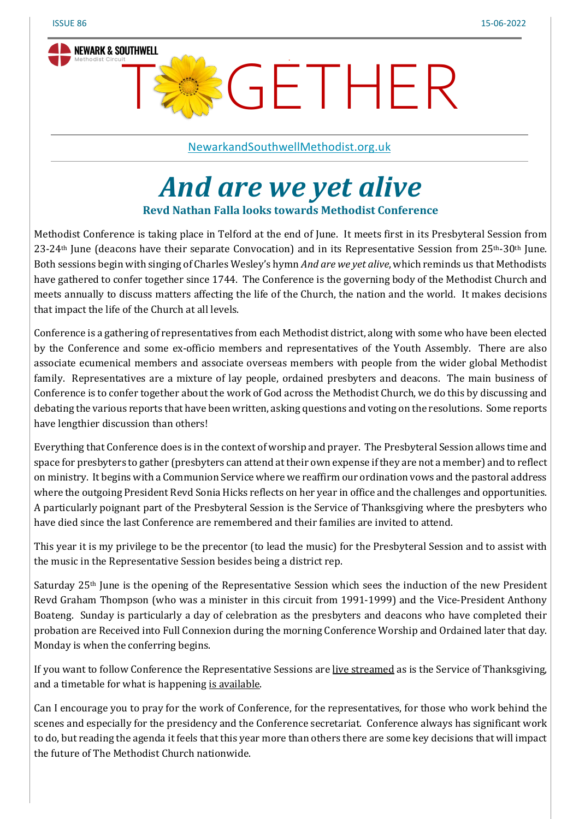

TSSGETHER

[NewarkandSouthwellMethodist.org.uk](https://www.newarkandsouthwellmethodist.org.uk/)

# *And are we yet alive*

**Revd Nathan Falla looks towards Methodist Conference**

Methodist Conference is taking place in Telford at the end of June. It meets first in its Presbyteral Session from 23-24th June (deacons have their separate Convocation) and in its Representative Session from 25th-30th June. Both sessions begin with singing of Charles Wesley's hymn *And are we yet alive*, which reminds us that Methodists have gathered to confer together since 1744. The Conference is the governing body of the Methodist Church and meets annually to discuss matters affecting the life of the Church, the nation and the world. It makes decisions that impact the life of the Church at all levels.

Conference is a gathering of representatives from each Methodist district, along with some who have been elected by the Conference and some ex-officio members and representatives of the Youth Assembly. There are also associate ecumenical members and associate overseas members with people from the wider global Methodist family. Representatives are a mixture of lay people, ordained presbyters and deacons. The main business of Conference is to confer together about the work of God across the Methodist Church, we do this by discussing and debating the various reports that have been written, asking questions and voting on the resolutions. Some reports have lengthier discussion than others!

Everything that Conference does is in the context of worship and prayer. The Presbyteral Session allows time and space for presbyters to gather (presbyters can attend at their own expense if they are not a member) and to reflect on ministry. It begins with a Communion Service where we reaffirm our ordination vows and the pastoral address where the outgoing President Revd Sonia Hicks reflects on her year in office and the challenges and opportunities. A particularly poignant part of the Presbyteral Session is the Service of Thanksgiving where the presbyters who have died since the last Conference are remembered and their families are invited to attend.

This year it is my privilege to be the precentor (to lead the music) for the Presbyteral Session and to assist with the music in the Representative Session besides being a district rep.

Saturday 25th June is the opening of the Representative Session which sees the induction of the new President Revd Graham Thompson (who was a minister in this circuit from 1991-1999) and the Vice-President Anthony Boateng. Sunday is particularly a day of celebration as the presbyters and deacons who have completed their probation are Received into Full Connexion during the morning Conference Worship and Ordained later that day. Monday is when the conferring begins.

If you want to follow Conference the Representative Sessions are live [streamed](https://www.methodist.org.uk/about-us/the-methodist-conference/conference-2022/conference-live-stream/) as is the Service of Thanksgiving, and a timetable for what is happening is [available.](https://www.methodist.org.uk/about-us/the-methodist-conference/conference-2022/conference-programme/)

Can I encourage you to pray for the work of Conference, for the representatives, for those who work behind the scenes and especially for the presidency and the Conference secretariat. Conference always has significant work to do, but reading the agenda it feels that this year more than others there are some key decisions that will impact the future of The Methodist Church nationwide.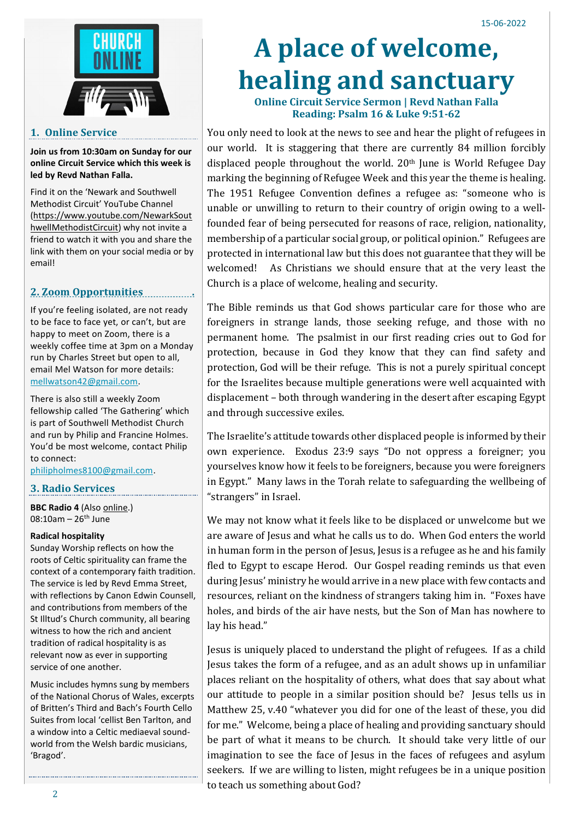

## **1. Online Service**

**Join us from 10:30am on Sunday for our online Circuit Service which this week is led by Revd Nathan Falla.**

Find it on the 'Newark and Southwell Methodist Circuit' YouTube Channel [\(https://www.youtube.com/NewarkSout](https://www.youtube.com/NewarkSouthwellMethodistCircuit) [hwellMethodistCircuit\)](https://www.youtube.com/NewarkSouthwellMethodistCircuit) why not invite a friend to watch it with you and share the link with them on your social media or by email!

## **2. Zoom Opportunities .**

If you're feeling isolated, are not ready to be face to face yet, or can't, but are happy to meet on Zoom, there is a weekly coffee time at 3pm on a Monday run by Charles Street but open to all, email Mel Watson for more details: [mellwatson42@gmail.com.](mailto:mellwatson42@gmail.com)

There is also still a weekly Zoom fellowship called 'The Gathering' which is part of Southwell Methodist Church and run by Philip and Francine Holmes. You'd be most welcome, contact Philip to connect:

[philipholmes8100@gmail.com.](mailto:philipholmes8100@gmail.com)

## **3. Radio Services**

**BBC Radio 4** (Also [online.\)](https://www.bbc.co.uk/programmes/m0018frn) 08:10am –  $26^{th}$  June

### **Radical hospitality**

Sunday Worship reflects on how the roots of Celtic spirituality can frame the context of a contemporary faith tradition. The service is led by Revd Emma Street, with reflections by Canon Edwin Counsell, and contributions from members of the St Illtud's Church community, all bearing witness to how the rich and ancient tradition of radical hospitality is as relevant now as ever in supporting service of one another.

Music includes hymns sung by members of the National Chorus of Wales, excerpts of Britten's Third and Bach's Fourth Cello Suites from local 'cellist Ben Tarlton, and a window into a Celtic mediaeval soundworld from the Welsh bardic musicians, 'Bragod'.

# **A place of welcome, healing and sanctuary**

**Online Circuit Service Sermon | Revd Nathan Falla Reading: Psalm 16 & Luke 9:51-62**

You only need to look at the news to see and hear the plight of refugees in our world. It is staggering that there are currently 84 million forcibly displaced people throughout the world. 20<sup>th</sup> June is World Refugee Day marking the beginning of Refugee Week and this year the theme is healing. The 1951 Refugee Convention defines a refugee as: "someone who is unable or unwilling to return to their country of origin owing to a wellfounded fear of being persecuted for reasons of race, religion, nationality, membership of a particular social group, or political opinion." Refugees are protected in international law but this does not guarantee that they will be welcomed! As Christians we should ensure that at the very least the Church is a place of welcome, healing and security.

The Bible reminds us that God shows particular care for those who are foreigners in strange lands, those seeking refuge, and those with no permanent home. The psalmist in our first reading cries out to God for protection, because in God they know that they can find safety and protection, God will be their refuge. This is not a purely spiritual concept for the Israelites because multiple generations were well acquainted with displacement – both through wandering in the desert after escaping Egypt and through successive exiles.

The Israelite's attitude towards other displaced people is informed by their own experience. Exodus 23:9 says "Do not oppress a foreigner; you yourselves know how it feels to be foreigners, because you were foreigners in Egypt." Many laws in the Torah relate to safeguarding the wellbeing of "strangers" in Israel.

We may not know what it feels like to be displaced or unwelcome but we are aware of Jesus and what he calls us to do. When God enters the world in human form in the person of Jesus, Jesus is a refugee as he and his family fled to Egypt to escape Herod. Our Gospel reading reminds us that even during Jesus' ministry he would arrive in a new place with few contacts and resources, reliant on the kindness of strangers taking him in. "Foxes have holes, and birds of the air have nests, but the Son of Man has nowhere to lay his head."

Jesus is uniquely placed to understand the plight of refugees. If as a child Jesus takes the form of a refugee, and as an adult shows up in unfamiliar places reliant on the hospitality of others, what does that say about what our attitude to people in a similar position should be? Jesus tells us in Matthew 25, v.40 "whatever you did for one of the least of these, you did for me." Welcome, being a place of healing and providing sanctuary should be part of what it means to be church. It should take very little of our imagination to see the face of Jesus in the faces of refugees and asylum seekers. If we are willing to listen, might refugees be in a unique position to teach us something about God?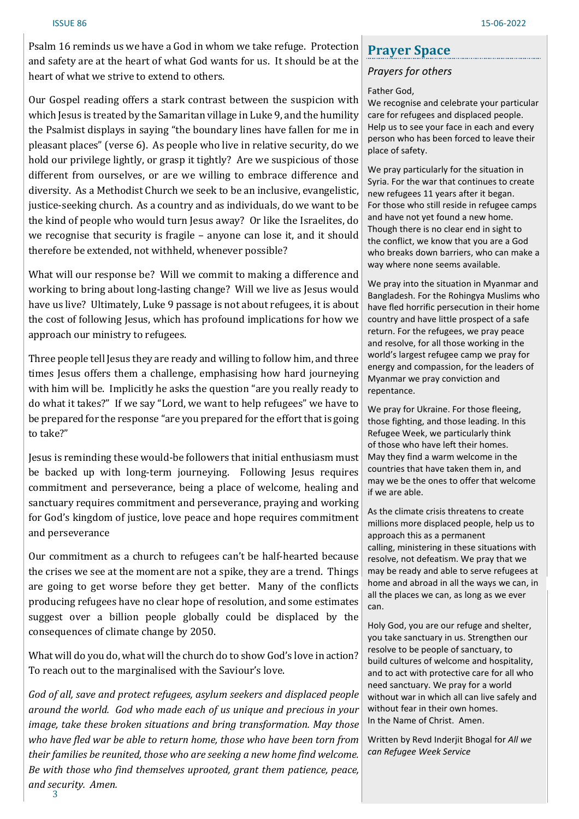Psalm 16 reminds us we have a God in whom we take refuge. Protection and safety are at the heart of what God wants for us. It should be at the heart of what we strive to extend to others.

Our Gospel reading offers a stark contrast between the suspicion with which Jesus is treated by the Samaritan village in Luke 9, and the humility the Psalmist displays in saying "the boundary lines have fallen for me in pleasant places" (verse 6). As people who live in relative security, do we hold our privilege lightly, or grasp it tightly? Are we suspicious of those different from ourselves, or are we willing to embrace difference and diversity. As a Methodist Church we seek to be an inclusive, evangelistic, justice-seeking church. As a country and as individuals, do we want to be the kind of people who would turn Jesus away? Or like the Israelites, do we recognise that security is fragile – anyone can lose it, and it should therefore be extended, not withheld, whenever possible?

What will our response be? Will we commit to making a difference and working to bring about long-lasting change? Will we live as Jesus would have us live? Ultimately, Luke 9 passage is not about refugees, it is about the cost of following Jesus, which has profound implications for how we approach our ministry to refugees.

Three people tell Jesus they are ready and willing to follow him, and three times Jesus offers them a challenge, emphasising how hard journeying with him will be. Implicitly he asks the question "are you really ready to do what it takes?" If we say "Lord, we want to help refugees" we have to be prepared for the response "are you prepared for the effort that is going to take?"

Jesus is reminding these would-be followers that initial enthusiasm must be backed up with long-term journeying. Following Jesus requires commitment and perseverance, being a place of welcome, healing and sanctuary requires commitment and perseverance, praying and working for God's kingdom of justice, love peace and hope requires commitment and perseverance

Our commitment as a church to refugees can't be half-hearted because the crises we see at the moment are not a spike, they are a trend. Things are going to get worse before they get better. Many of the conflicts producing refugees have no clear hope of resolution, and some estimates suggest over a billion people globally could be displaced by the consequences of climate change by 2050.

What will do you do, what will the church do to show God's love in action? To reach out to the marginalised with the Saviour's love.

3 *God of all, save and protect refugees, asylum seekers and displaced people around the world. God who made each of us unique and precious in your image, take these broken situations and bring transformation. May those who have fled war be able to return home, those who have been torn from their families be reunited, those who are seeking a new home find welcome. Be with those who find themselves uprooted, grant them patience, peace, and security. Amen.*

## **Prayer Space**

## *Prayers for others*

### Father God,

We recognise and celebrate your particular care for refugees and displaced people. Help us to see your face in each and every person who has been forced to leave their place of safety.

We pray particularly for the situation in Syria. For the war that continues to create new refugees 11 years after it began. For those who still reside in refugee camps and have not yet found a new home. Though there is no clear end in sight to the conflict, we know that you are a God who breaks down barriers, who can make a way where none seems available.

We pray into the situation in Myanmar and Bangladesh. For the Rohingya Muslims who have fled horrific persecution in their home country and have little prospect of a safe return. For the refugees, we pray peace and resolve, for all those working in the world's largest refugee camp we pray for energy and compassion, for the leaders of Myanmar we pray conviction and repentance.

We pray for Ukraine. For those fleeing, those fighting, and those leading. In this Refugee Week, we particularly think of those who have left their homes. May they find a warm welcome in the countries that have taken them in, and may we be the ones to offer that welcome if we are able.

As the climate crisis threatens to create millions more displaced people, help us to approach this as a permanent calling, ministering in these situations with resolve, not defeatism. We pray that we may be ready and able to serve refugees at home and abroad in all the ways we can, in all the places we can, as long as we ever can.

Holy God, you are our refuge and shelter, you take sanctuary in us. Strengthen our resolve to be people of sanctuary, to build cultures of welcome and hospitality, and to act with protective care for all who need sanctuary. We pray for a world without war in which all can live safely and without fear in their own homes. In the Name of Christ. Amen.

Written by Revd Inderjit Bhogal for *All we can Refugee Week Service*